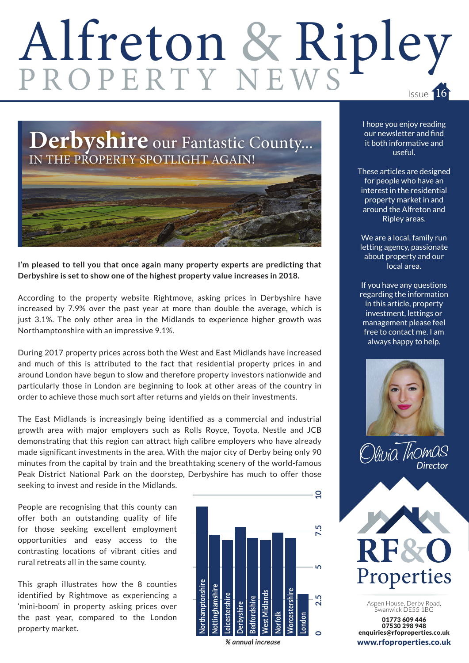## Alfreton & Ripley Issue 16





**I'm pleased to tell you that once again many property experts are predicting that Derbyshire is set to show one of the highest property value increases in 2018.**

According to the property website Rightmove, asking prices in Derbyshire have increased by 7.9% over the past year at more than double the average, which is just 3.1%. The only other area in the Midlands to experience higher growth was Northamptonshire with an impressive 9.1%.

During 2017 property prices across both the West and East Midlands have increased and much of this is attributed to the fact that residential property prices in and around London have begun to slow and therefore property investors nationwide and particularly those in London are beginning to look at other areas of the country in order to achieve those much sort after returns and yields on their investments.

The East Midlands is increasingly being identified as a commercial and industrial growth area with major employers such as Rolls Royce, Toyota, Nestle and JCB demonstrating that this region can attract high calibre employers who have already made significant investments in the area. With the major city of Derby being only 90 minutes from the capital by train and the breathtaking scenery of the world-famous Peak District National Park on the doorstep, Derbyshire has much to offer those seeking to invest and reside in the Midlands.

People are recognising that this county can offer both an outstanding quality of life for those seeking excellent employment opportunities and easy access to the contrasting locations of vibrant cities and rural retreats all in the same county.

This graph illustrates how the 8 counties identified by Rightmove as experiencing a 'mini-boom' in property asking prices over the past year, compared to the London property market.



 $\overline{a}$ 

*% annual increase*

I hope you enjoy reading our newsletter and find it both informative and useful.

These articles are designed for people who have an interest in the residential property market in and around the Alfreton and Ripley areas.

We are a local, family run letting agency, passionate about property and our local area.

If you have any questions regarding the information in this article, property investment, lettings or management please feel free to contact me. I am always happy to help.







Aspen House, Derby Road, Swanwick DE55 1BG

01773 609 446 07530 298 948 enquiries@rfoproperties.co.uk www.rfoproperties.co.uk